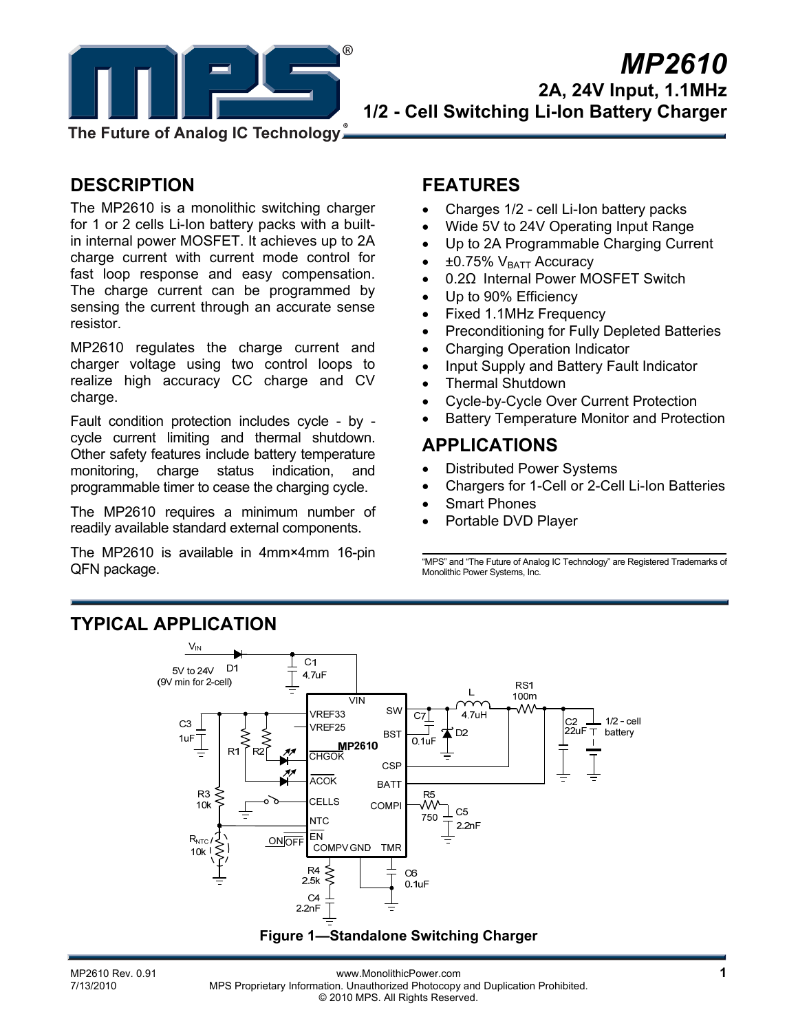

**The Future of Analog IC Technology**

# **DESCRIPTION**

The MP2610 is a monolithic switching charger for 1 or 2 cells Li-Ion battery packs with a builtin internal power MOSFET. It achieves up to 2A charge current with current mode control for fast loop response and easy compensation. The charge current can be programmed by sensing the current through an accurate sense resistor.

MP2610 regulates the charge current and charger voltage using two control loops to realize high accuracy CC charge and CV charge.

Fault condition protection includes cycle - by cycle current limiting and thermal shutdown. Other safety features include battery temperature monitoring, charge status indication, and programmable timer to cease the charging cycle.

The MP2610 requires a minimum number of readily available standard external components.

The MP2610 is available in 4mm×4mm 16-pin QFN package.

### **FEATURES**

- Charges 1/2 cell Li-Ion battery packs
- Wide 5V to 24V Operating Input Range
- Up to 2A Programmable Charging Current
- $\pm 0.75\%$  V<sub>BATT</sub> Accuracy
- 0.2Ω Internal Power MOSFET Switch
- Up to 90% Efficiency
- Fixed 1.1MHz Frequency
- Preconditioning for Fully Depleted Batteries
- Charging Operation Indicator
- Input Supply and Battery Fault Indicator
- Thermal Shutdown
- Cycle-by-Cycle Over Current Protection
- Battery Temperature Monitor and Protection

### **APPLICATIONS**

- Distributed Power Systems
- Chargers for 1-Cell or 2-Cell Li-Ion Batteries
- **Smart Phones**
- Portable DVD Player

"MPS" and "The Future of Analog IC Technology" are Registered Trademarks of Monolithic Power Systems, Inc.

# **TYPICAL APPLICATION**



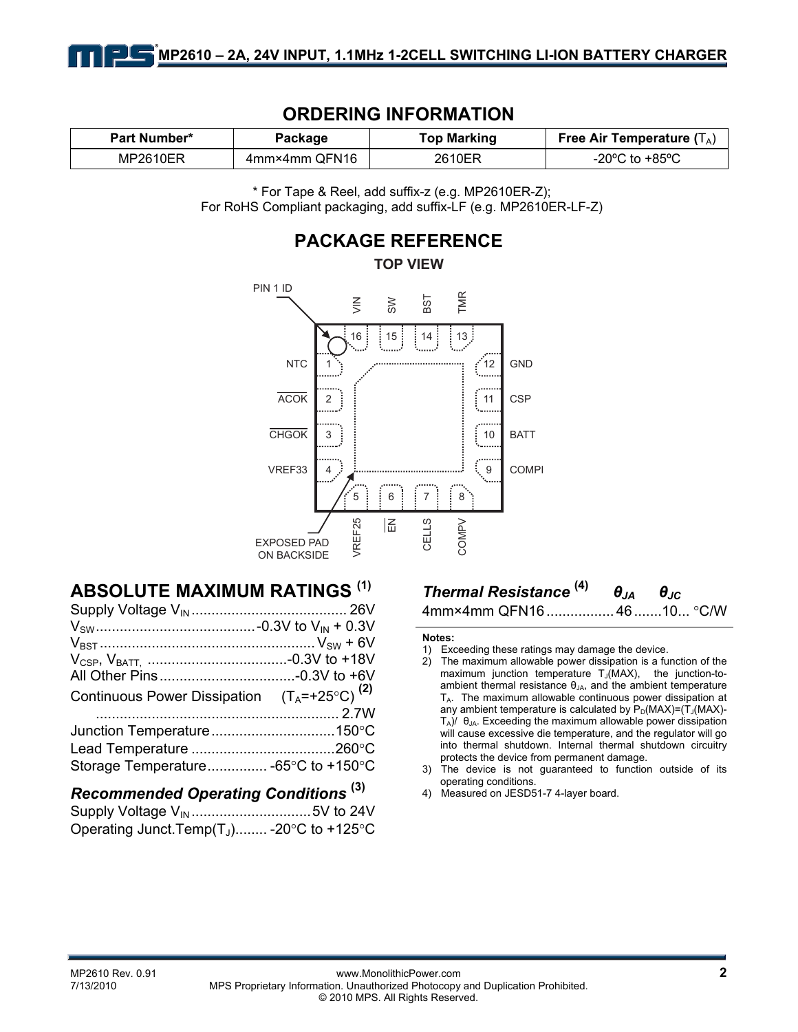| Part Number* | Package       | <b>Top Marking</b> | Free Air Temperature $(T_A)$       |
|--------------|---------------|--------------------|------------------------------------|
| MP2610ER     | 4mm×4mm QFN16 | 2610ER             | $-20^{\circ}$ C to $+85^{\circ}$ C |

### **ORDERING INFORMATION**

\* For Tape & Reel, add suffix-z (e.g. MP2610ER-Z); For RoHS Compliant packaging, add suffix-LF (e.g. MP2610ER-LF-Z)



# **ABSOLUTE MAXIMUM RATINGS (1)**

| Continuous Power Dissipation $(T_A = +25^{\circ}C)^{(2)}$ |  |
|-----------------------------------------------------------|--|
|                                                           |  |
|                                                           |  |
|                                                           |  |
| Storage Temperature -65°C to +150°C                       |  |
|                                                           |  |

# *Recommended Operating Conditions* **(3)**

Supply Voltage VIN ..............................5V to 24V Operating Junct.Temp $(T_J)$ ........ -20 $\textdegree$ C to +125 $\textdegree$ C

### *Thermal Resistance* **(4)** *θJA θJC* 4mm×4mm QFN16................. 46.......10... °C/W

#### **Notes:**

- 1) Exceeding these ratings may damage the device.
- 2) The maximum allowable power dissipation is a function of the maximum junction temperature  $T_J(MAX)$ , the junction-toambient thermal resistance  $\theta_{JA}$ , and the ambient temperature  $T_A$ . The maximum allowable continuous power dissipation at any ambient temperature is calculated by  $P_D(MAX)=(T_J(MAX)-T_J(MAX)-T_J(MAX)-T_J(MAX)-T_J(MAX)$  $T_A$ )/  $\theta_{JA}$ . Exceeding the maximum allowable power dissipation will cause excessive die temperature, and the regulator will go into thermal shutdown. Internal thermal shutdown circuitry protects the device from permanent damage.
- 3) The device is not guaranteed to function outside of its operating conditions.
- 4) Measured on JESD51-7 4-layer board.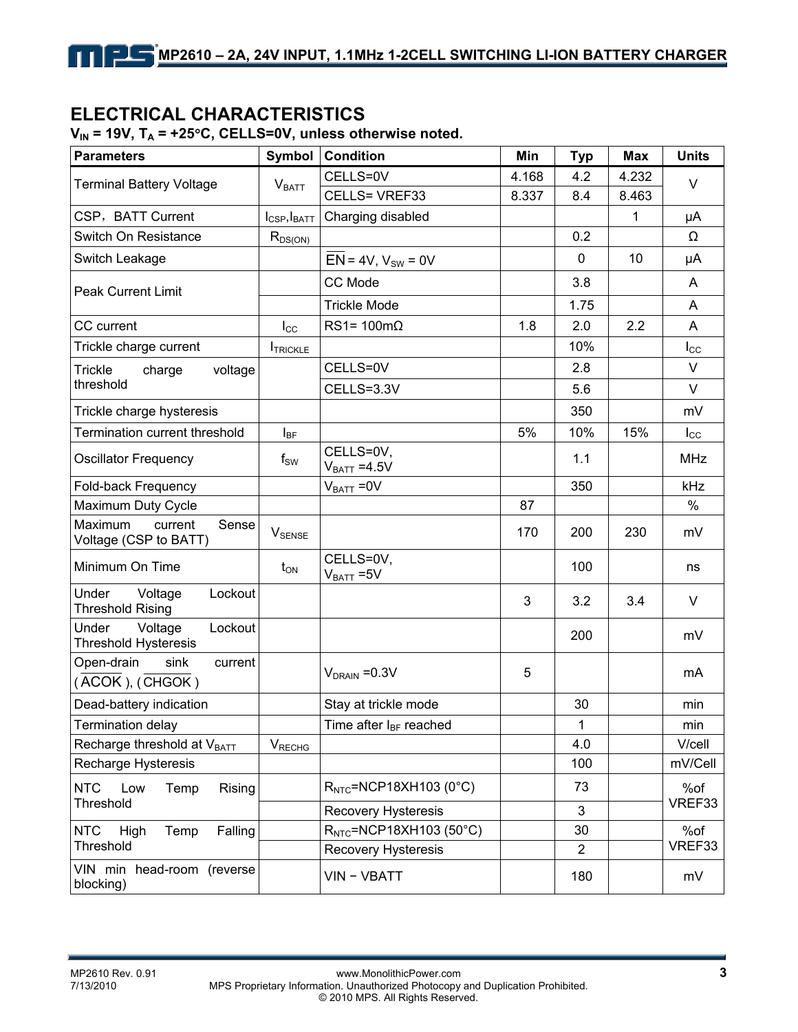### **ELECTRICAL CHARACTERISTICS**

| <b>Parameters</b>                                      | Symbol                   | <b>Condition</b>                   | Min   | <b>Typ</b>     | <b>Max</b> | <b>Units</b>  |  |
|--------------------------------------------------------|--------------------------|------------------------------------|-------|----------------|------------|---------------|--|
| <b>Terminal Battery Voltage</b>                        |                          | CELLS=0V                           | 4.168 | 4.2            | 4.232      | V             |  |
|                                                        | V <sub>BATT</sub>        | CELLS= VREF33                      | 8.337 | 8.4            | 8.463      |               |  |
| CSP, BATT Current                                      | $I_{CSP}$ , $I_{BATT}$   | Charging disabled                  |       |                | 1          | μA            |  |
| Switch On Resistance                                   | $R_{DS(ON)}$             |                                    |       | 0.2            |            | Ω             |  |
| Switch Leakage                                         |                          | $EN = 4V, V_{SW} = 0V$             |       | 0              | 10         | μA            |  |
| <b>Peak Current Limit</b>                              |                          | CC Mode                            |       | 3.8            |            | A             |  |
|                                                        |                          | <b>Trickle Mode</b>                |       | 1.75           |            | A             |  |
| CC current                                             | $I_{\rm CC}$             | $RS1 = 100 \text{m}\Omega$         | 1.8   | 2.0            | 2.2        | A             |  |
| Trickle charge current                                 | <b>ITRICKLE</b>          |                                    |       | 10%            |            | $I_{\rm CC}$  |  |
| <b>Trickle</b><br>voltage<br>charge                    |                          | CELLS=0V                           |       | 2.8            |            | V             |  |
| threshold                                              |                          | CELLS=3.3V                         |       | 5.6            |            | V             |  |
| Trickle charge hysteresis                              |                          |                                    |       | 350            |            | mV            |  |
| Termination current threshold                          | $I_{BF}$                 |                                    | 5%    | 10%            | 15%        | $I_{\rm CC}$  |  |
| <b>Oscillator Frequency</b>                            | $\mathsf{f}_\mathsf{SW}$ | CELLS=0V,<br>$V_{BAT} = 4.5V$      |       | 1.1            |            | <b>MHz</b>    |  |
| Fold-back Frequency                                    |                          | $V_{BAT} = 0V$                     |       | 350            |            | kHz           |  |
| Maximum Duty Cycle                                     |                          |                                    | 87    |                |            | %             |  |
| Maximum<br>current<br>Sense<br>Voltage (CSP to BATT)   | $V_{\text{SENSE}}$       |                                    | 170   | 200            | 230        | mV            |  |
| Minimum On Time                                        | $t_{ON}$                 | CELLS=0V,<br>$V_{BAT} = 5V$        |       | 100            |            | ns            |  |
| Under<br>Lockout<br>Voltage<br><b>Threshold Rising</b> |                          |                                    | 3     | 3.2            | 3.4        | V             |  |
| Under<br>Voltage<br>Lockout<br>Threshold Hysteresis    |                          |                                    |       | 200            |            | mV            |  |
| Open-drain<br>sink<br>current<br>(ACOK), (CHGOK)       |                          | $V_{DRAIN} = 0.3V$                 | 5     |                |            | mA            |  |
| Dead-battery indication                                |                          | Stay at trickle mode               |       | 30             |            | min           |  |
| <b>Termination delay</b>                               |                          | Time after I <sub>BF</sub> reached |       | 1              |            | min           |  |
| Recharge threshold at VBATT                            | <b>V</b> RECHG           |                                    |       | 4.0            |            | V/cell        |  |
| <b>Recharge Hysteresis</b>                             |                          |                                    |       | 100            |            | mV/Cell       |  |
| <b>NTC</b><br>Low<br>Temp<br>Rising<br>Threshold       |                          | $RNTC=NCP18XH103 (0°C)$            |       | 73             |            | %of<br>VREF33 |  |
|                                                        |                          | <b>Recovery Hysteresis</b>         |       | 3              |            |               |  |
| <b>NTC</b><br>Temp<br>Falling<br>High                  |                          | $RNTC=NCP18XH103 (50°C)$           |       | 30             |            | %of<br>VREF33 |  |
| Threshold                                              |                          | <b>Recovery Hysteresis</b>         |       | $\overline{2}$ |            |               |  |
| VIN min head-room (reverse<br>blocking)                |                          | VIN - VBATT                        |       | 180            |            | mV            |  |

### $V_{\text{in}}$  = 19V, T<sub>r</sub> = +25°C, CELLS=0V, unless otherwise noted.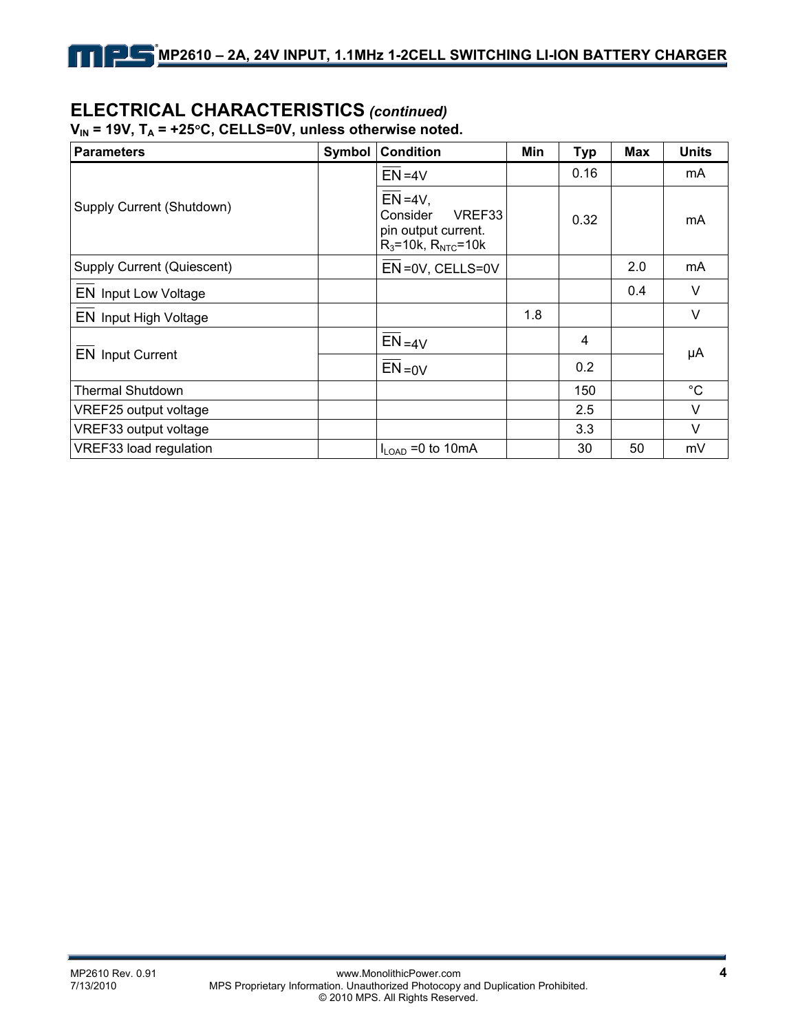# **ELECTRICAL CHARACTERISTICS** *(continued)*

V<sub>IN</sub> = 19V, T<sub>A</sub> = +25°C, CELLS=0V, unless otherwise noted.

| <b>Parameters</b>          | Symbol | <b>Condition</b>                                                                          | Min | <b>Typ</b> | <b>Max</b> | <b>Units</b> |  |
|----------------------------|--------|-------------------------------------------------------------------------------------------|-----|------------|------------|--------------|--|
|                            |        | $EN = 4V$                                                                                 |     | 0.16       |            | mA           |  |
| Supply Current (Shutdown)  |        | $EN = 4V$ ,<br>VREF33<br>Consider<br>pin output current.<br>$R_3 = 10k$ , $R_{NTC} = 10k$ |     | 0.32       |            | mA           |  |
| Supply Current (Quiescent) |        | EN=0V, CELLS=0V                                                                           |     |            | 2.0        | mA           |  |
| EN Input Low Voltage       |        |                                                                                           |     |            | 0.4        | $\vee$       |  |
| EN Input High Voltage      |        |                                                                                           | 1.8 |            |            | $\vee$       |  |
|                            |        | $EN = 4V$                                                                                 |     | 4          |            | μA           |  |
| <b>EN Input Current</b>    |        | $EN = 0V$                                                                                 |     | 0.2        |            |              |  |
| <b>Thermal Shutdown</b>    |        |                                                                                           |     | 150        |            | $^{\circ}C$  |  |
| VREF25 output voltage      |        |                                                                                           |     | 2.5        |            | $\vee$       |  |
| VREF33 output voltage      |        |                                                                                           |     | 3.3        |            | $\vee$       |  |
| VREF33 load regulation     |        | $I_{LOAD} = 0$ to 10mA                                                                    |     | 30         | 50         | mV           |  |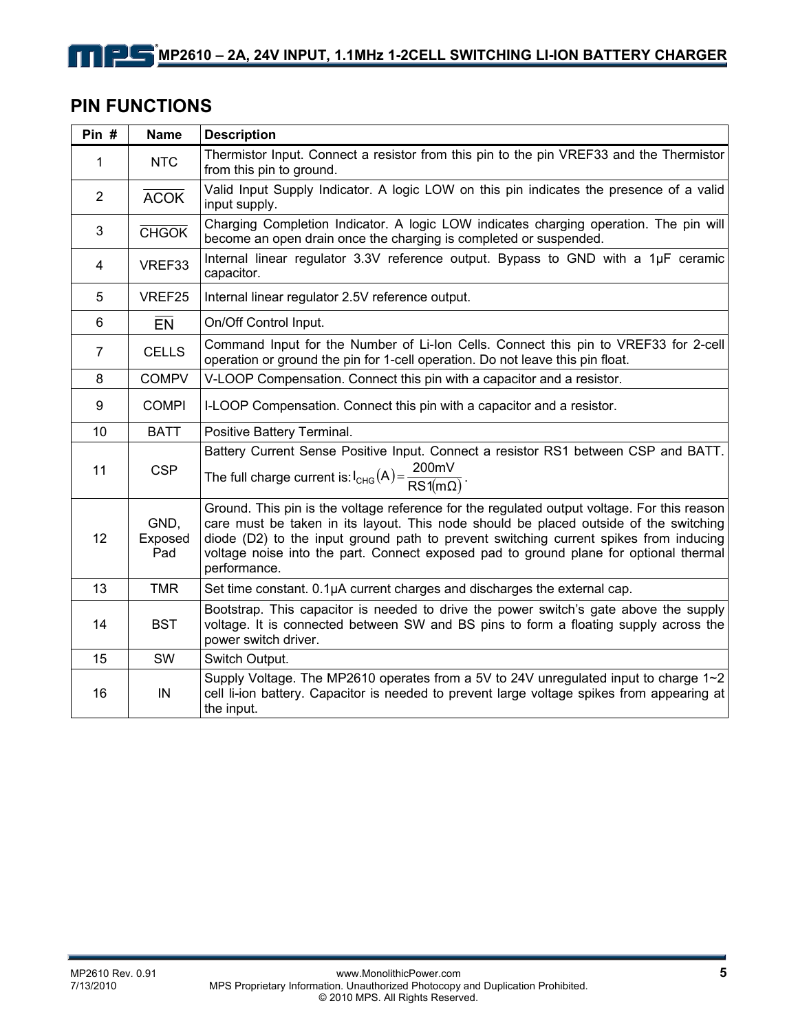# **PIN FUNCTIONS**

| Pin $#$          | <b>Name</b>            | <b>Description</b>                                                                                                                                                                                                                                                                                                                                                                     |  |
|------------------|------------------------|----------------------------------------------------------------------------------------------------------------------------------------------------------------------------------------------------------------------------------------------------------------------------------------------------------------------------------------------------------------------------------------|--|
| 1                | <b>NTC</b>             | Thermistor Input. Connect a resistor from this pin to the pin VREF33 and the Thermistor<br>from this pin to ground.                                                                                                                                                                                                                                                                    |  |
| $\overline{2}$   | <b>ACOK</b>            | Valid Input Supply Indicator. A logic LOW on this pin indicates the presence of a valid<br>input supply.                                                                                                                                                                                                                                                                               |  |
| 3                | <b>CHGOK</b>           | Charging Completion Indicator. A logic LOW indicates charging operation. The pin will<br>become an open drain once the charging is completed or suspended.                                                                                                                                                                                                                             |  |
| 4                | VREF33                 | Internal linear regulator 3.3V reference output. Bypass to GND with a 1µF ceramic<br>capacitor.                                                                                                                                                                                                                                                                                        |  |
| 5                | VREF25                 | Internal linear regulator 2.5V reference output.                                                                                                                                                                                                                                                                                                                                       |  |
| 6                | EN                     | On/Off Control Input.                                                                                                                                                                                                                                                                                                                                                                  |  |
| $\overline{7}$   | <b>CELLS</b>           | Command Input for the Number of Li-Ion Cells. Connect this pin to VREF33 for 2-cell<br>operation or ground the pin for 1-cell operation. Do not leave this pin float.                                                                                                                                                                                                                  |  |
| 8                | <b>COMPV</b>           | V-LOOP Compensation. Connect this pin with a capacitor and a resistor.                                                                                                                                                                                                                                                                                                                 |  |
| $\boldsymbol{9}$ | <b>COMPI</b>           | I-LOOP Compensation. Connect this pin with a capacitor and a resistor.                                                                                                                                                                                                                                                                                                                 |  |
| 10               | <b>BATT</b>            | Positive Battery Terminal.                                                                                                                                                                                                                                                                                                                                                             |  |
| 11               | <b>CSP</b>             | Battery Current Sense Positive Input. Connect a resistor RS1 between CSP and BATT.<br>The full charge current is: $I_{CHG}(A) = \frac{200mV}{RS1(m\Omega)}$ .                                                                                                                                                                                                                          |  |
| 12               | GND,<br>Exposed<br>Pad | Ground. This pin is the voltage reference for the regulated output voltage. For this reason<br>care must be taken in its layout. This node should be placed outside of the switching<br>diode (D2) to the input ground path to prevent switching current spikes from inducing<br>voltage noise into the part. Connect exposed pad to ground plane for optional thermal<br>performance. |  |
| 13               | <b>TMR</b>             | Set time constant. 0.1µA current charges and discharges the external cap.                                                                                                                                                                                                                                                                                                              |  |
| 14               | <b>BST</b>             | Bootstrap. This capacitor is needed to drive the power switch's gate above the supply<br>voltage. It is connected between SW and BS pins to form a floating supply across the<br>power switch driver.                                                                                                                                                                                  |  |
| 15               | SW                     | Switch Output.                                                                                                                                                                                                                                                                                                                                                                         |  |
| 16               | IN                     | Supply Voltage. The MP2610 operates from a 5V to 24V unregulated input to charge $1~2$<br>cell li-ion battery. Capacitor is needed to prevent large voltage spikes from appearing at<br>the input.                                                                                                                                                                                     |  |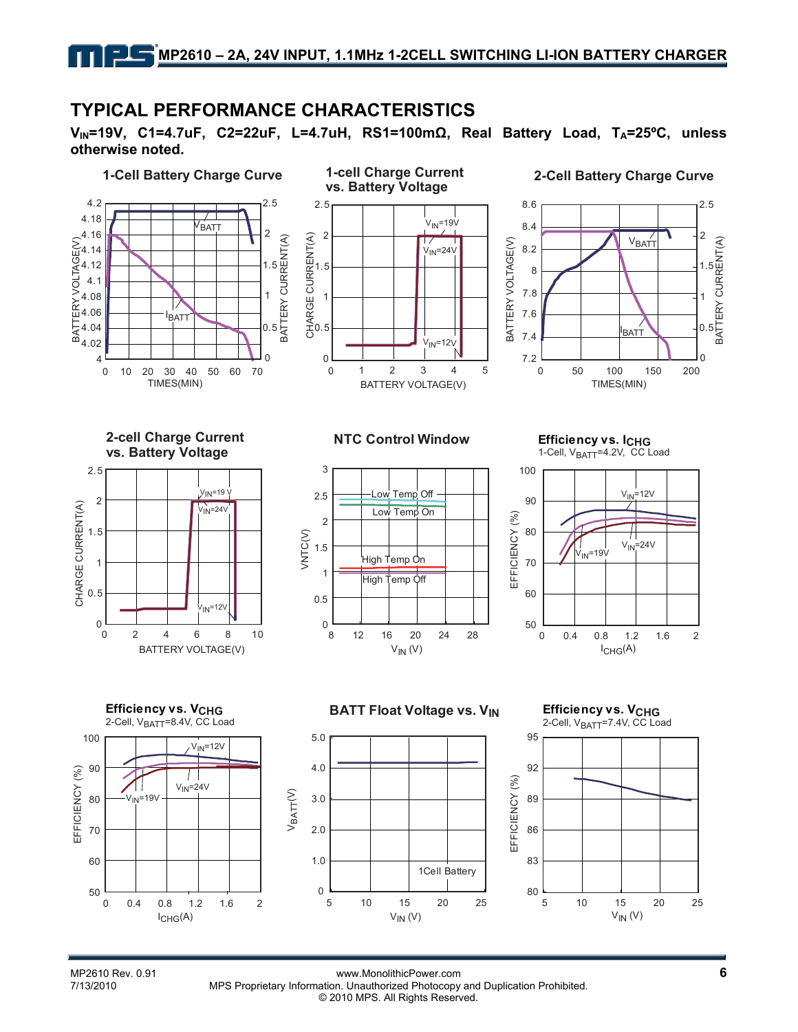### **TYPICAL PERFORMANCE CHARACTERISTICS**

**VIN=19V, C1=4.7uF, C2=22uF, L=4.7uH, RS1=100mΩ, Real Battery Load, TA=25ºC, unless otherwise noted.** 



 $I_{CHG}(A)$ 

MP2610 Rev. 0.91 **6**<br>T/13/2010 **MPS Proprietary Information. Unauthorized Photocopy and Duplication Prohibited.** MPS Proprietary Information. Unauthorized Photocopy and Duplication Prohibited. © 2010 MPS. All Rights Reserved.

 $V_{IN} (V)$   $V_{IN} (V)$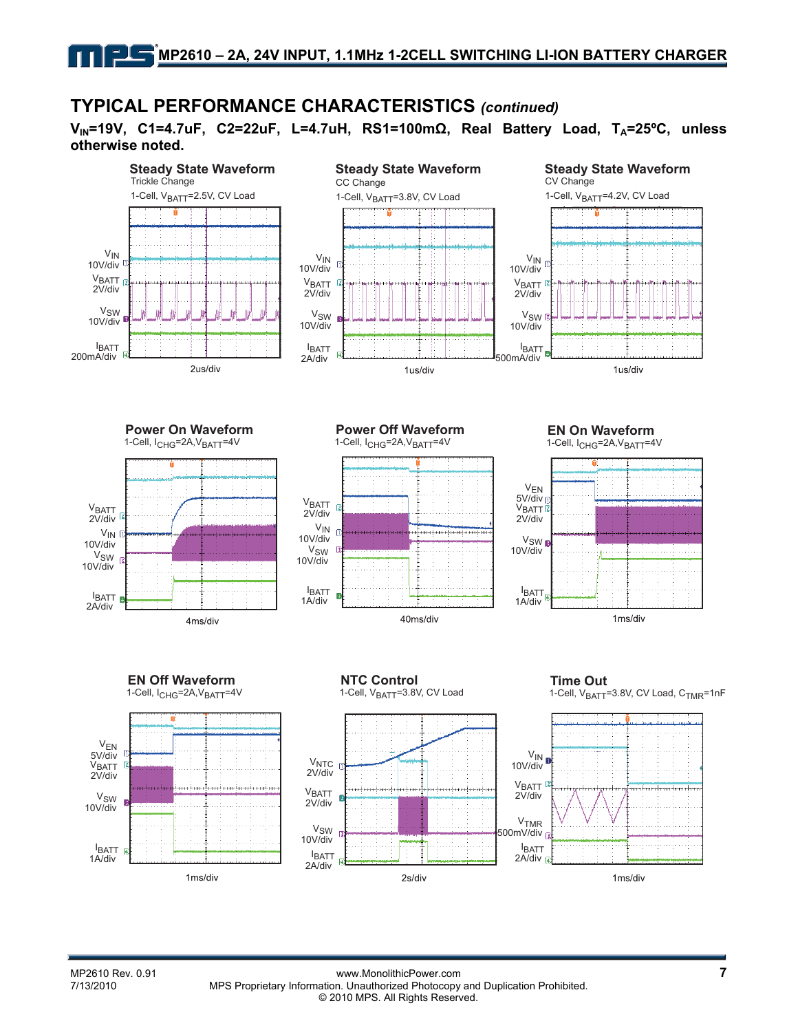### **TYPICAL PERFORMANCE CHARACTERISTICS** *(continued)*

**VIN=19V, C1=4.7uF, C2=22uF, L=4.7uH, RS1=100mΩ, Real Battery Load, TA=25ºC, unless otherwise noted.**



1-Cell, I<sub>CHG</sub>=2A, V<sub>BATT</sub>=4V



1-Cell, I<sub>CHG</sub>=2A, V<sub>BATT</sub>=4V







4ms/div



**VBATT** 2V/div

VSW 10V/div

IBATT 2A/div

VIN 10V/div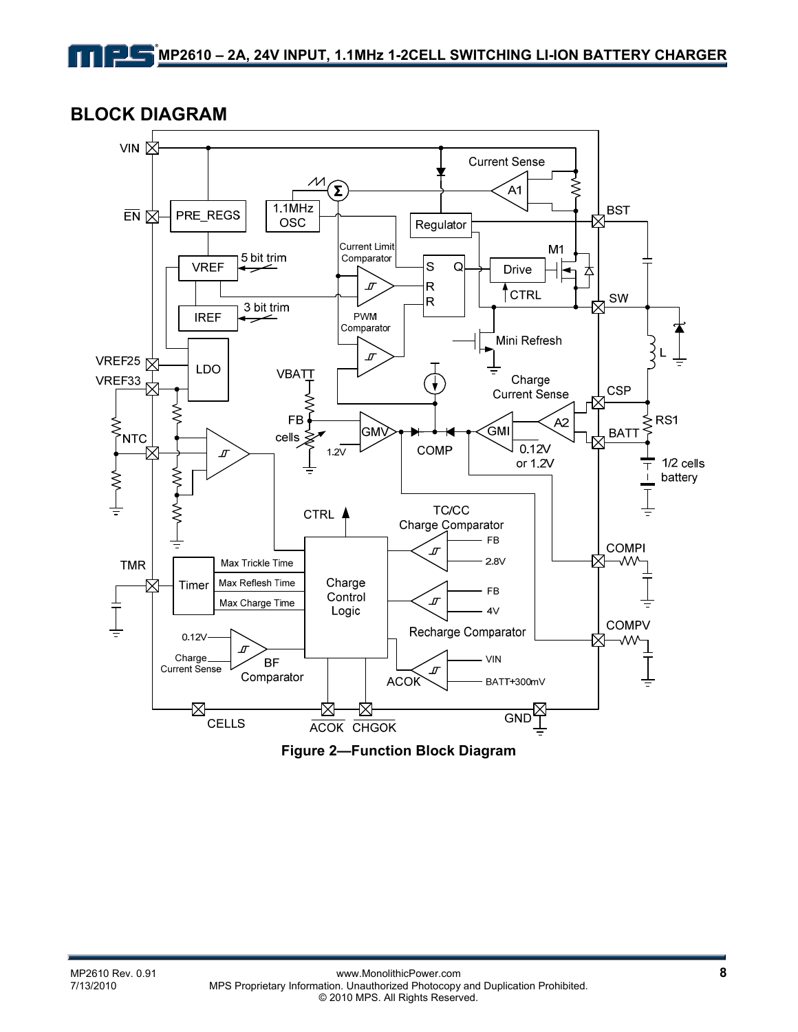**BLOCK DIAGRAM** 



**Figure 2—Function Block Diagram**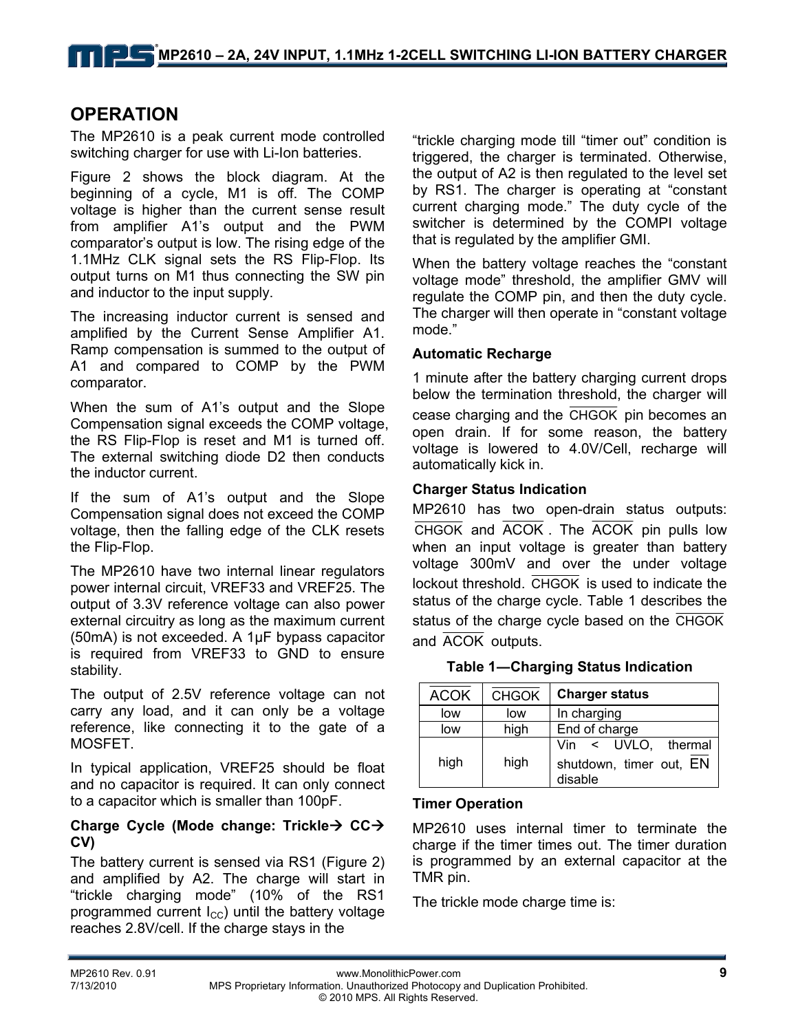### **OPERATION**

The MP2610 is a peak current mode controlled switching charger for use with Li-Ion batteries.

Figure 2 shows the block diagram. At the beginning of a cycle, M1 is off. The COMP voltage is higher than the current sense result from amplifier A1's output and the PWM comparator's output is low. The rising edge of the 1.1MHz CLK signal sets the RS Flip-Flop. Its output turns on M1 thus connecting the SW pin and inductor to the input supply.

The increasing inductor current is sensed and amplified by the Current Sense Amplifier A1. Ramp compensation is summed to the output of A1 and compared to COMP by the PWM comparator.

When the sum of A1's output and the Slope Compensation signal exceeds the COMP voltage, the RS Flip-Flop is reset and M1 is turned off. The external switching diode D2 then conducts the inductor current.

If the sum of A1's output and the Slope Compensation signal does not exceed the COMP voltage, then the falling edge of the CLK resets the Flip-Flop.

The MP2610 have two internal linear regulators power internal circuit, VREF33 and VREF25. The output of 3.3V reference voltage can also power external circuitry as long as the maximum current (50mA) is not exceeded. A 1μF bypass capacitor is required from VREF33 to GND to ensure stability.

The output of 2.5V reference voltage can not carry any load, and it can only be a voltage reference, like connecting it to the gate of a MOSFET.

In typical application, VREF25 should be float and no capacitor is required. It can only connect to a capacitor which is smaller than 100pF.

### **Charge Cycle (Mode change: Trickle→ CC→ CV)**

The battery current is sensed via RS1 (Figure 2) and amplified by A2. The charge will start in "trickle charging mode" (10% of the RS1 programmed current  $I_{\rm CC}$ ) until the battery voltage reaches 2.8V/cell. If the charge stays in the

"trickle charging mode till "timer out" condition is triggered, the charger is terminated. Otherwise, the output of A2 is then regulated to the level set by RS1. The charger is operating at "constant current charging mode." The duty cycle of the switcher is determined by the COMPI voltage that is regulated by the amplifier GMI.

When the battery voltage reaches the "constant voltage mode" threshold, the amplifier GMV will regulate the COMP pin, and then the duty cycle. The charger will then operate in "constant voltage mode."

#### **Automatic Recharge**

1 minute after the battery charging current drops below the termination threshold, the charger will cease charging and the CHGOK pin becomes an open drain. If for some reason, the battery voltage is lowered to 4.0V/Cell, recharge will automatically kick in.

#### **Charger Status Indication**

MP2610 has two open-drain status outputs: CHGOK and ACOK . The ACOK pin pulls low when an input voltage is greater than battery voltage 300mV and over the under voltage lockout threshold. CHGOK is used to indicate the status of the charge cycle. Table 1 describes the status of the charge cycle based on the CHGOK and ACOK outputs.

|  | Table 1-Charging Status Indication |
|--|------------------------------------|

| <b>ACOK</b> | <b>CHGOK</b> | <b>Charger status</b>                                     |  |
|-------------|--------------|-----------------------------------------------------------|--|
| low         | low          | In charging                                               |  |
| low         | high         | End of charge                                             |  |
| high        | high         | Vin < UVLO, thermal<br>shutdown, timer out, EN<br>disable |  |

#### **Timer Operation**

MP2610 uses internal timer to terminate the charge if the timer times out. The timer duration is programmed by an external capacitor at the TMR pin.

The trickle mode charge time is: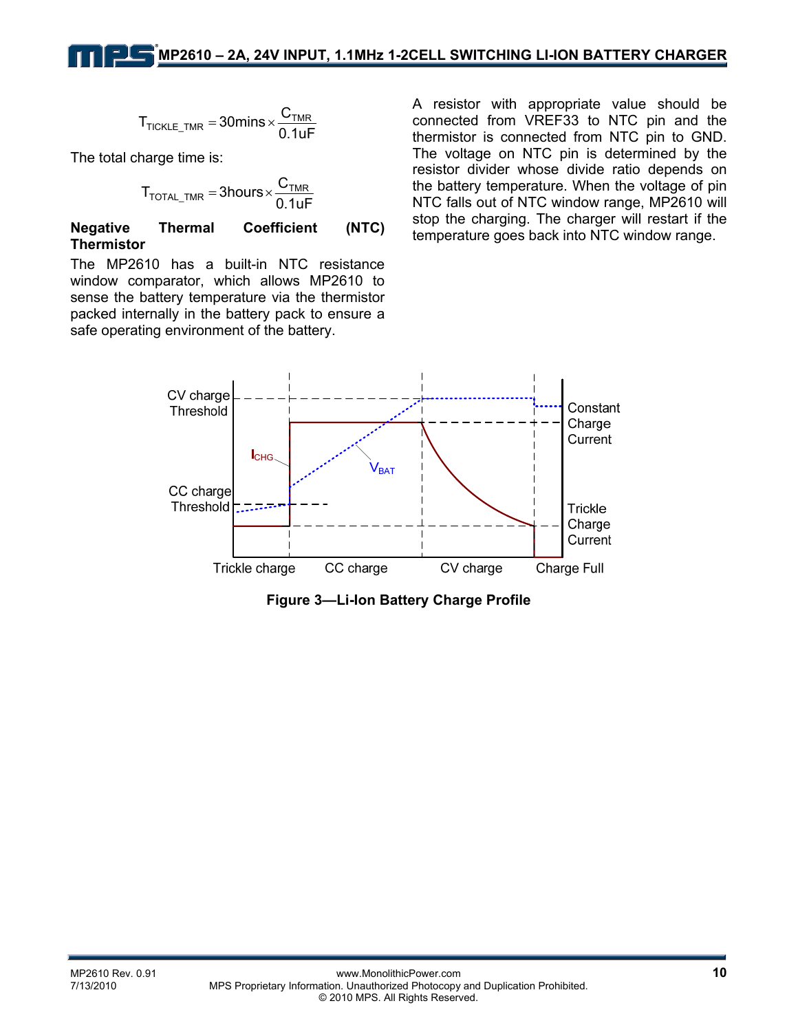$$
T_{\text{TICKLE\_TMR}} = 30 \text{mins} \times \frac{C_{\text{TMR}}}{0.1 \text{uF}}
$$

The total charge time is:

$$
T_{\text{TOTAL\_TMR}} = 3 \text{hours} \times \frac{C_{\text{TMR}}}{0.1 \text{uF}}
$$

#### **Negative Thermal Coefficient (NTC) Thermistor**

The MP2610 has a built-in NTC resistance window comparator, which allows MP2610 to sense the battery temperature via the thermistor packed internally in the battery pack to ensure a safe operating environment of the battery.

A resistor with appropriate value should be connected from VREF33 to NTC pin and the thermistor is connected from NTC pin to GND. The voltage on NTC pin is determined by the resistor divider whose divide ratio depends on the battery temperature. When the voltage of pin NTC falls out of NTC window range, MP2610 will stop the charging. The charger will restart if the temperature goes back into NTC window range.



**Figure 3—Li-Ion Battery Charge Profile**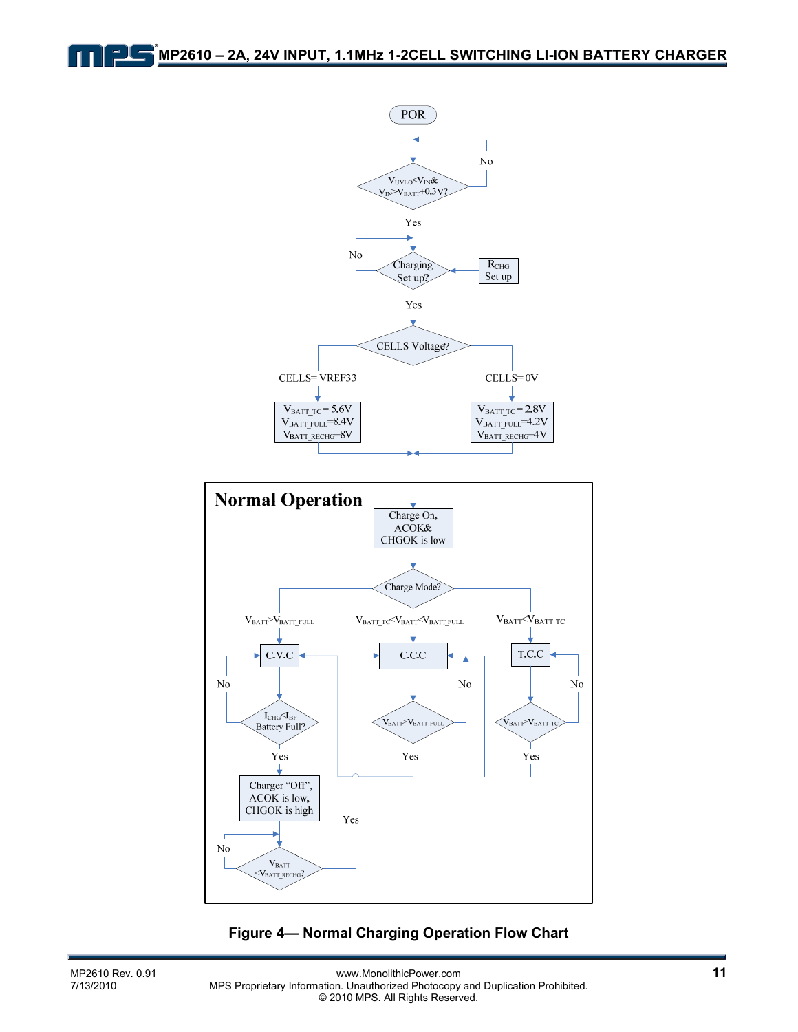

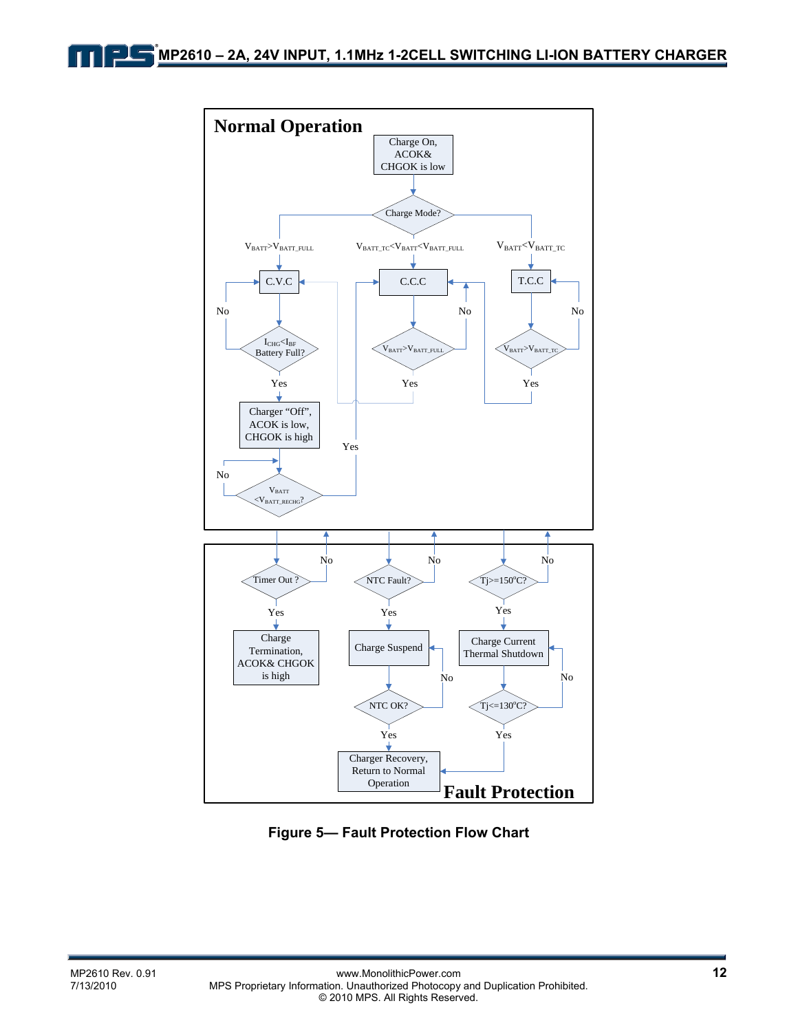

**Figure 5— Fault Protection Flow Chart**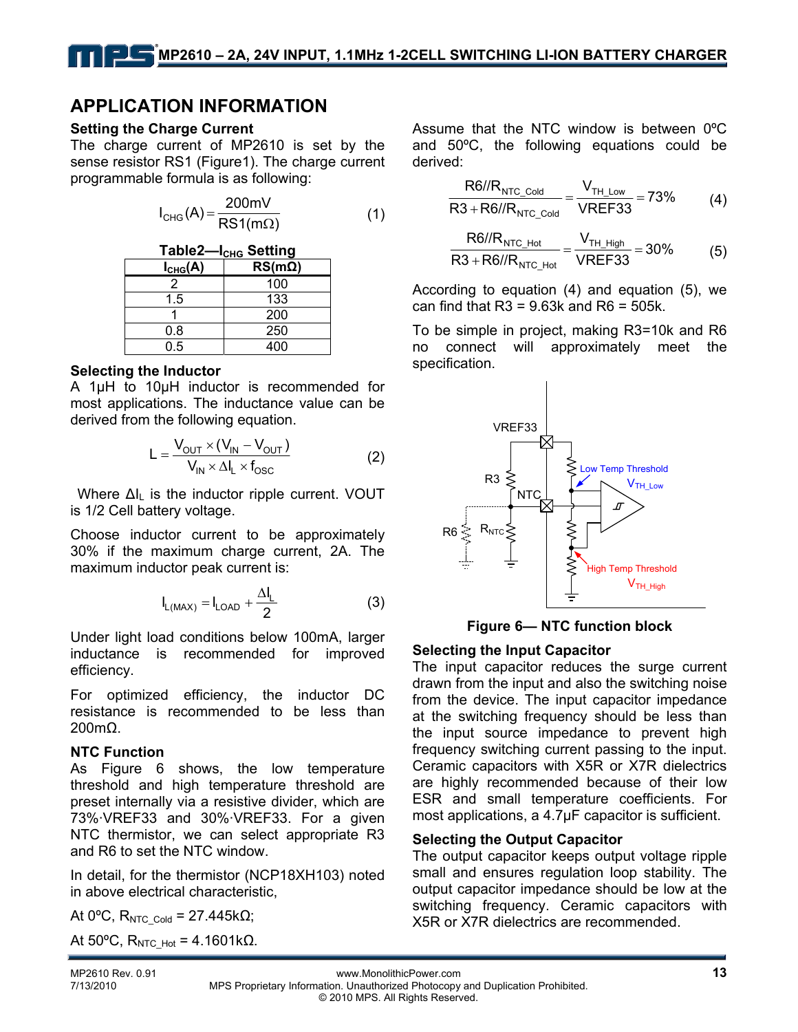### **APPLICATION INFORMATION**

#### **Setting the Charge Current**

The charge current of MP2610 is set by the sense resistor RS1 (Figure1). The charge current programmable formula is as following:

$$
I_{CHG}(A) = \frac{200 \text{mV}}{\text{RS1}(\text{m}\Omega)}\tag{1}
$$

Table2-I<sub>CHG</sub> Setting **ICHG(A) RS(mΩ)**  2 100 1.5 133 1 200 0.8 250 0.5 400

#### **Selecting the Inductor**

A 1µH to 10µH inductor is recommended for most applications. The inductance value can be derived from the following equation.

$$
L = \frac{V_{\text{OUT}} \times (V_{\text{IN}} - V_{\text{OUT}})}{V_{\text{IN}} \times \Delta I_{\text{L}} \times f_{\text{osc}}}
$$
(2)

Where  $\Delta I_L$  is the inductor ripple current. VOUT is 1/2 Cell battery voltage.

Choose inductor current to be approximately 30% if the maximum charge current, 2A. The maximum inductor peak current is:

$$
I_{L(MAX)} = I_{LOAD} + \frac{\Delta I_L}{2}
$$
 (3)

Under light load conditions below 100mA, larger inductance is recommended for improved efficiency.

For optimized efficiency, the inductor DC resistance is recommended to be less than 200mΩ.

#### **NTC Function**

As Figure 6 shows, the low temperature threshold and high temperature threshold are preset internally via a resistive divider, which are 73%·VREF33 and 30%·VREF33. For a given NTC thermistor, we can select appropriate R3 and R6 to set the NTC window.

In detail, for the thermistor (NCP18XH103) noted in above electrical characteristic,

At 0 $^{\circ}$ C, R<sub>NTC\_Cold</sub> = 27.445kΩ;

At 50°C,  $R_{NTC-Hot}$  = 4.1601kΩ.

Assume that the NTC window is between 0ºC and 50ºC, the following equations could be derived:

$$
\frac{\text{R6//R}_{\text{NTC\_Gold}}}{\text{R3} + \text{R6//R}_{\text{NTC\_Gold}}} = \frac{V_{\text{TH\_Low}}}{\text{VREF33}} = 73\% \tag{4}
$$

$$
\frac{\text{R6//R}_{\text{NTC\_Hot}}}{\text{R3} + \text{R6//R}_{\text{NTC\_Hot}}} = \frac{V_{\text{TH\_High}}}{\text{VREF33}} = 30\% \tag{5}
$$

According to equation (4) and equation (5), we can find that  $R3 = 9.63k$  and  $R6 = 505k$ .

To be simple in project, making R3=10k and R6 no connect will approximately meet the specification.





#### **Selecting the Input Capacitor**

The input capacitor reduces the surge current drawn from the input and also the switching noise from the device. The input capacitor impedance at the switching frequency should be less than the input source impedance to prevent high frequency switching current passing to the input. Ceramic capacitors with X5R or X7R dielectrics are highly recommended because of their low ESR and small temperature coefficients. For most applications, a 4.7µF capacitor is sufficient.

#### **Selecting the Output Capacitor**

The output capacitor keeps output voltage ripple small and ensures regulation loop stability. The output capacitor impedance should be low at the switching frequency. Ceramic capacitors with X5R or X7R dielectrics are recommended.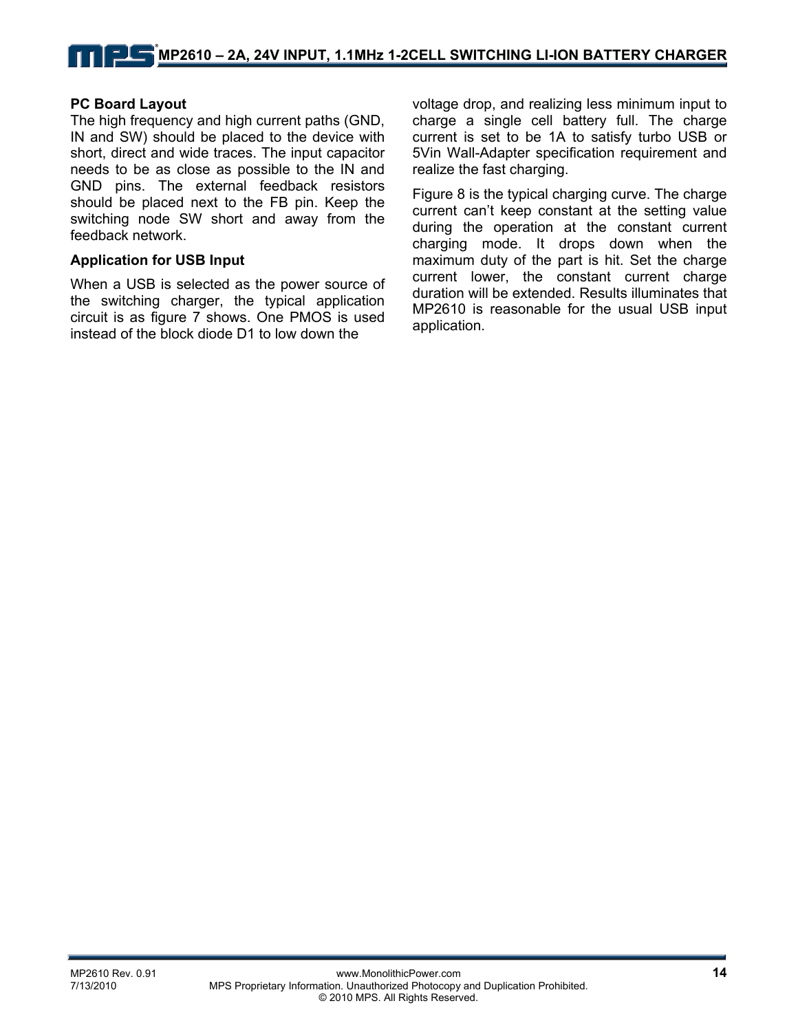### **PC Board Layout**

The high frequency and high current paths (GND, IN and SW) should be placed to the device with short, direct and wide traces. The input capacitor needs to be as close as possible to the IN and GND pins. The external feedback resistors should be placed next to the FB pin. Keep the switching node SW short and away from the feedback network.

#### **Application for USB Input**

When a USB is selected as the power source of the switching charger, the typical application circuit is as figure 7 shows. One PMOS is used instead of the block diode D1 to low down the

voltage drop, and realizing less minimum input to charge a single cell battery full. The charge current is set to be 1A to satisfy turbo USB or 5Vin Wall-Adapter specification requirement and realize the fast charging.

Figure 8 is the typical charging curve. The charge current can't keep constant at the setting value during the operation at the constant current charging mode. It drops down when the maximum duty of the part is hit. Set the charge current lower, the constant current charge duration will be extended. Results illuminates that MP2610 is reasonable for the usual USB input application.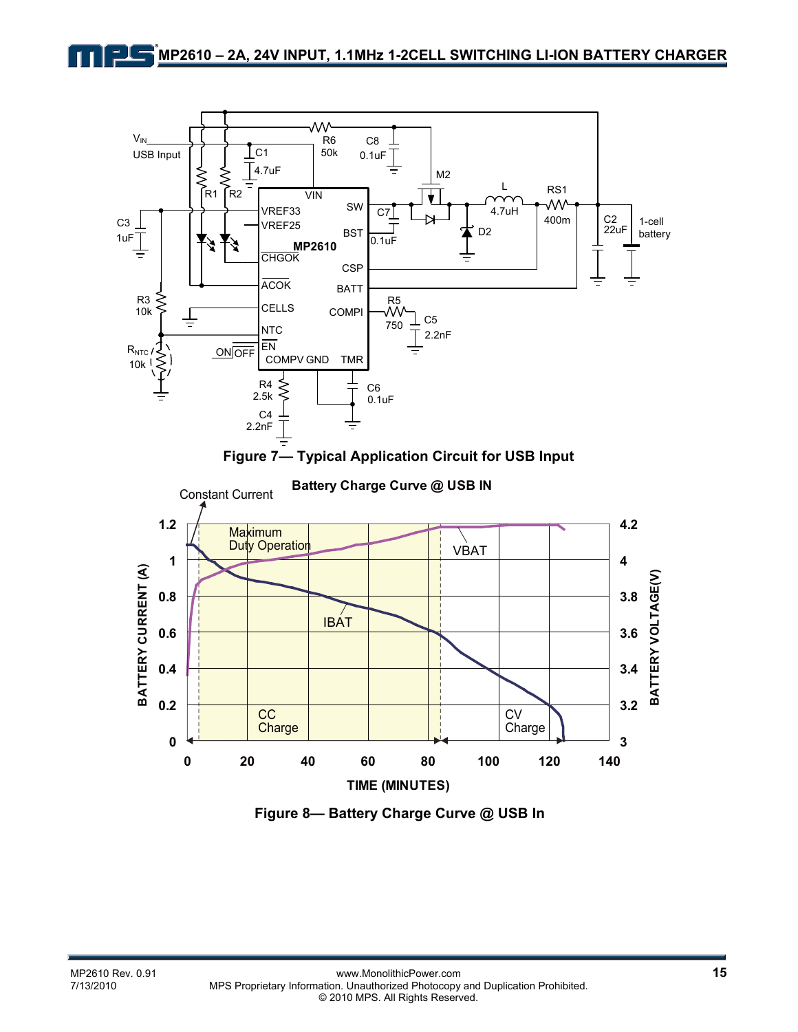

**Figure 8— Battery Charge Curve @ USB In**